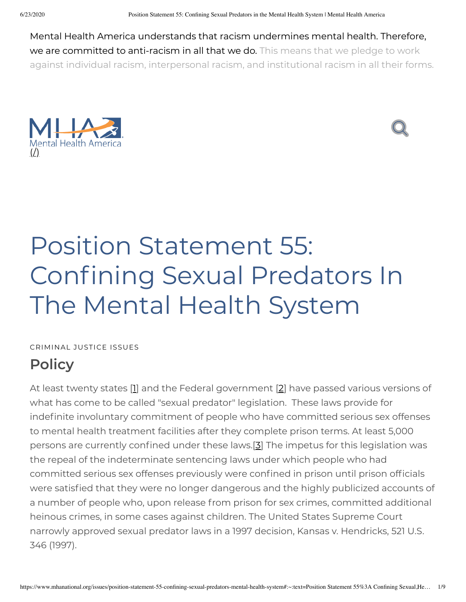Mental Health America understands that racism undermines mental health. Therefore, we are committed to anti-racism in all that we do. This means that we pledge to work against individual racism, interpersonal racism, and institutional racism in all their forms.





# Position Statement 55: Confining Sexual Predators In The Mental Health System

CRIMINAL JUSTICE ISSUES

## **Policy**

<span id="page-0-2"></span><span id="page-0-1"></span><span id="page-0-0"></span>At least twenty states [\[1\]](#page-5-0) and the Federal government [\[2\]](#page-5-1) have passed various versions of what has come to be called "sexual predator" legislation. These laws provide for indefinite involuntary commitment of people who have committed serious sex offenses to mental health treatment facilities after they complete prison terms. At least 5,000 persons are currently confined under these laws.[[3\]](#page-5-2) The impetus for this legislation was the repeal of the indeterminate sentencing laws under which people who had committed serious sex offenses previously were confined in prison until prison officials were satisfied that they were no longer dangerous and the highly publicized accounts of a number of people who, upon release from prison for sex crimes, committed additional heinous crimes, in some cases against children. The United States Supreme Court narrowly approved sexual predator laws in a 1997 decision, Kansas v. Hendricks, 521 U.S. 346 (1997).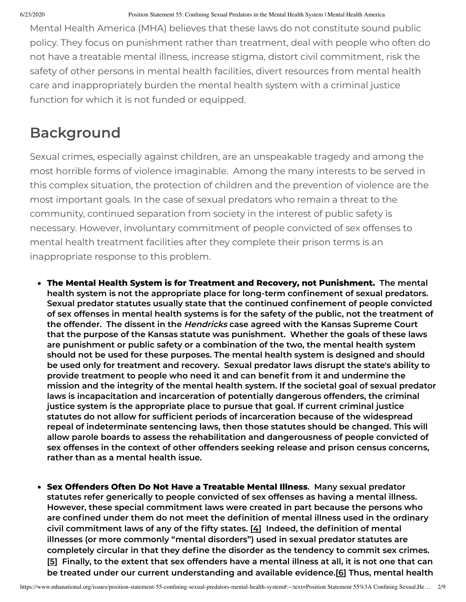Mental Health America (MHA) believes that these laws do not constitute sound public policy. They focus on punishment rather than treatment, deal with people who often do not have a treatable mental illness, increase stigma, distort civil commitment, risk the safety of other persons in mental health facilities, divert resources from mental health care and inappropriately burden the mental health system with a criminal justice function for which it is not funded or equipped.

### **Background**

Sexual crimes, especially against children, are an unspeakable tragedy and among the most horrible forms of violence imaginable. Among the many interests to be served in this complex situation, the protection of children and the prevention of violence are the most important goals. In the case of sexual predators who remain a threat to the community, continued separation from society in the interest of public safety is necessary. However, involuntary commitment of people convicted of sex offenses to mental health treatment facilities after they complete their prison terms is an inappropriate response to this problem.

- **The Mental Health System is for Treatment and Recovery, not Punishment. The mental health system is not the appropriate place for long-term connement of sexual predators. Sexual predator statutes usually state that the continued connement of people convicted of sex offenses in mental health systems is for the safety of the public, not the treatment of the offender. The dissent in the Hendricks case agreed with the Kansas Supreme Court that the purpose of the Kansas statute was punishment. Whether the goals of these laws are punishment or public safety or a combination of the two, the mental health system should not be used for these purposes. The mental health system is designed and should be used only for treatment and recovery. Sexual predator laws disrupt the state's ability to provide treatment to people who need it and can benet from it and undermine the mission and the integrity of the mental health system. If the societal goal of sexual predator laws is incapacitation and incarceration of potentially dangerous offenders, the criminal justice system is the appropriate place to pursue that goal. If current criminal justice statutes do not allow for sufcient periods of incarceration because of the widespread repeal of indeterminate sentencing laws, then those statutes should be changed. This will allow parole boards to assess the rehabilitation and dangerousness of people convicted of sex offenses in the context of other offenders seeking release and prison census concerns, rather than as a mental health issue.**
- <span id="page-1-2"></span><span id="page-1-1"></span><span id="page-1-0"></span>**Sex Offenders Often Do Not Have a Treatable Mental Illness. Many sexual predator statutes refer generically to people convicted of sex offenses as having a mental illness. However, these special commitment laws were created in part because the persons who are conned under them do not meet the denition of mental illness used in the ordinary civil commitment laws of any of the fty states. [[4\]](#page-5-3) Indeed, the denition of mental illnesses (or more commonly "mental disorders") used in sexual predator statutes are completely circular in that they dene the disorder as the tendency to commit sex crimes.** [[5\]](#page-5-4) Finally, to the extent that sex offenders have a mental illness at all, it is not one that can **be treated under our current understanding and available evidence.[[6](#page-5-5)] Thus, mental health**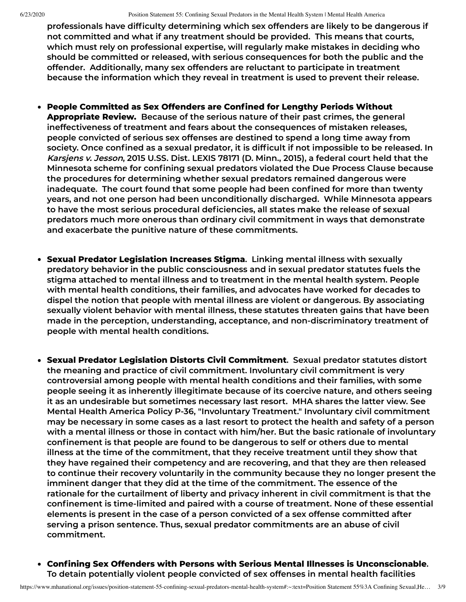**professionals have difculty determining which sex offenders are likely to be dangerous if not committed and what if any treatment should be provided. This means that courts, which must rely on professional expertise, will regularly make mistakes in deciding who should be committed or released, with serious consequences for both the public and the offender. Additionally, many sex offenders are reluctant to participate in treatment because the information which they reveal in treatment is used to prevent their release.**

- **People Committed as Sex Offenders are Conned for Lengthy Periods Without Appropriate Review. Because of the serious nature of their past crimes, the general ineffectiveness of treatment and fears about the consequences of mistaken releases, people convicted of serious sex offenses are destined to spend a long time away from society. Once conned as a sexual predator, it is difcult if not impossible to be released. In Karsjens v. Jesson, 2015 U.SS. Dist. LEXIS 78171 (D. Minn., 2015), a federal court held that the Minnesota scheme for conning sexual predators violated the Due Process Clause because the procedures for determining whether sexual predators remained dangerous were inadequate.** The court found that some people had been confined for more than twenty **years, and not one person had been unconditionally discharged. While Minnesota appears to have the most serious procedural deciencies, all states make the release of sexual predators much more onerous than ordinary civil commitment in ways that demonstrate and exacerbate the punitive nature of these commitments.**
- **Sexual Predator Legislation Increases Stigma. Linking mental illness with sexually predatory behavior in the public consciousness and in sexual predator statutes fuels the stigma attached to mental illness and to treatment in the mental health system. People with mental health conditions, their families, and advocates have worked for decades to dispel the notion that people with mental illness are violent or dangerous. By associating sexually violent behavior with mental illness, these statutes threaten gains that have been made in the perception, understanding, acceptance, and non-discriminatory treatment of people with mental health conditions.**
- **Sexual Predator Legislation Distorts Civil Commitment. Sexual predator statutes distort the meaning and practice of civil commitment. Involuntary civil commitment is very controversial among people with mental health conditions and their families, with some people seeing it as inherently illegitimate because of its coercive nature, and others seeing it as an undesirable but sometimes necessary last resort. MHA shares the latter view. See Mental Health America Policy P-36, "Involuntary Treatment." Involuntary civil commitment** may be necessary in some cases as a last resort to protect the health and safety of a person **with a mental illness or those in contact with him/her. But the basic rationale of involuntary connement is that people are found to be dangerous to self or others due to mental illness at the time of the commitment, that they receive treatment until they show that they have regained their competency and are recovering, and that they are then released to continue their recovery voluntarily in the community because they no longer present the imminent danger that they did at the time of the commitment. The essence of the rationale for the curtailment of liberty and privacy inherent in civil commitment is that the connement is time-limited and paired with a course of treatment. None of these essential elements is present in the case of a person convicted of a sex offense committed after serving a prison sentence. Thus, sexual predator commitments are an abuse of civil commitment.**
- **Conning Sex Offenders with Persons with Serious Mental Illnesses is Unconscionable. To detain potentially violent people convicted of sex offenses in mental health facilities**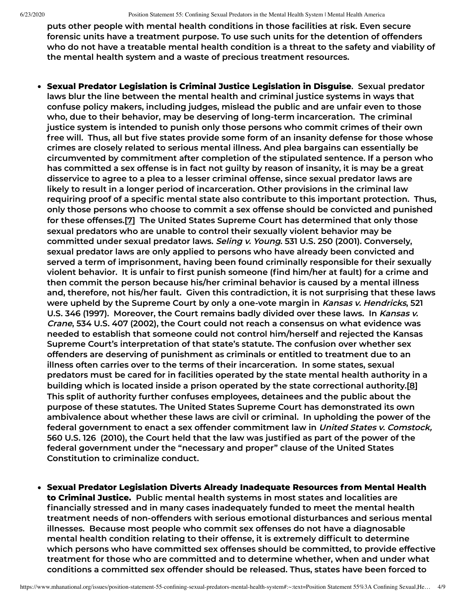**puts other people with mental health conditions in those facilities at risk. Even secure forensic units have a treatment purpose. To use such units for the detention of offenders who do not have a treatable mental health condition is a threat to the safety and viability of the mental health system and a waste of precious treatment resources.**

- <span id="page-3-0"></span>**Sexual Predator Legislation is Criminal Justice Legislation in Disguise. Sexual predator laws blur the line between the mental health and criminal justice systems in ways that confuse policy makers, including judges, mislead the public and are unfair even to those who, due to their behavior, may be deserving of long-term incarceration. The criminal justice system is intended to punish only those persons who commit crimes of their own free will. Thus, all but ve states provide some form of an insanity defense for those whose crimes are closely related to serious mental illness. And plea bargains can essentially be circumvented by commitment after completion of the stipulated sentence. If a person who** has committed a sex offense is in fact not guilty by reason of insanity, it is may be a great **disservice to agree to a plea to a lesser criminal offense, since sexual predator laws are likely to result in a longer period of incarceration. Other provisions in the criminal law requiring proof of a specic mental state also contribute to this important protection. Thus, only those persons who choose to commit a sex offense should be convicted and punished for these offenses.[[7](#page-5-6)] The United States Supreme Court has determined that only those sexual predators who are unable to control their sexually violent behavior may be committed under sexual predator laws. Seling v. Young. 531 U.S. 250 (2001). Conversely, sexual predator laws are only applied to persons who have already been convicted and served a term of imprisonment, having been found criminally responsible for their sexually violent behavior. It is unfair to rst punish someone (nd him/her at fault) for a crime and then commit the person because his/her criminal behavior is caused by a mental illness and, therefore, not his/her fault. Given this contradiction, it is not surprising that these laws were upheld by the Supreme Court by only a one-vote margin in Kansas v. Hendricks, 521 U.S. 346 (1997). Moreover, the Court remains badly divided over these laws. In Kansas v. Crane, 534 U.S. 407 (2002), the Court could not reach a consensus on what evidence was needed to establish that someone could not control him/herself and rejected the Kansas Supreme Court's interpretation of that state's statute. The confusion over whether sex offenders are deserving of punishment as criminals or entitled to treatment due to an illness often carries over to the terms of their incarceration. In some states, sexual predators must be cared for in facilities operated by the state mental health authority in a building which is located inside a prison operated by the state correctional authority.[\[8](#page-5-7)] This split of authority further confuses employees, detainees and the public about the purpose of these statutes. The United States Supreme Court has demonstrated its own ambivalence about whether these laws are civil or criminal. In upholding the power of the federal government to enact a sex offender commitment law in United States v. Comstock, 560 U.S. 126 (2010), the Court held that the law was justied as part of the power of the federal government under the "necessary and proper" clause of the United States Constitution to criminalize conduct.**
- <span id="page-3-1"></span>**Sexual Predator Legislation Diverts Already Inadequate Resources from Mental Health to Criminal Justice. Public mental health systems in most states and localities are nancially stressed and in many cases inadequately funded to meet the mental health treatment needs of non-offenders with serious emotional disturbances and serious mental illnesses. Because most people who commit sex offenses do not have a diagnosable mental health condition relating to their offense, it is extremely difcult to determine which persons who have committed sex offenses should be committed, to provide effective treatment for those who are committed and to determine whether, when and under what conditions a committed sex offender should be released. Thus, states have been forced to**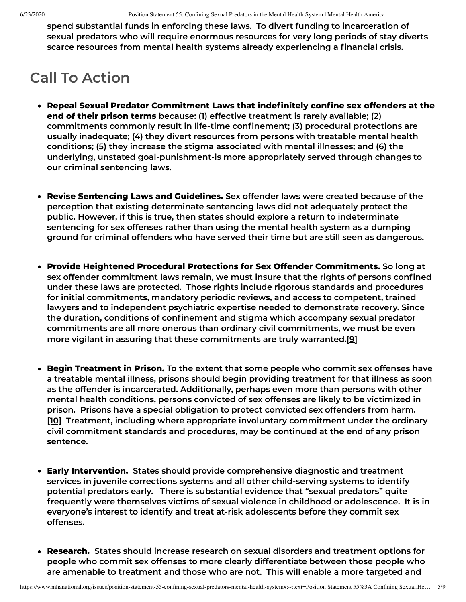**spend substantial funds in enforcing these laws. To divert funding to incarceration of sexual predators who will require enormous resources for very long periods of stay diverts scarce resources from mental health systems already experiencing a nancial crisis.**

#### **Call To Action**

- **Repeal Sexual Predator Commitment Laws that indenitely conne sex offenders at the end of their prison terms because: (1) effective treatment is rarely available; (2) commitments commonly result in life-time connement; (3) procedural protections are usually inadequate; (4) they divert resources from persons with treatable mental health conditions; (5) they increase the stigma associated with mental illnesses; and (6) the underlying, unstated goal-punishment-is more appropriately served through changes to our criminal sentencing laws.**
- **Revise Sentencing Laws and Guidelines. Sex offender laws were created because of the perception that existing determinate sentencing laws did not adequately protect the public. However, if this is true, then states should explore a return to indeterminate sentencing for sex offenses rather than using the mental health system as a dumping ground for criminal offenders who have served their time but are still seen as dangerous.**
- **Provide Heightened Procedural Protections for Sex Offender Commitments. So long at sex offender commitment laws remain, we must insure that the rights of persons conned under these laws are protected. Those rights include rigorous standards and procedures for initial commitments, mandatory periodic reviews, and access to competent, trained lawyers and to independent psychiatric expertise needed to demonstrate recovery. Since the duration, conditions of connement and stigma which accompany sexual predator commitments are all more onerous than ordinary civil commitments, we must be even more vigilant in assuring that these commitments are truly warranted.[[9](#page-5-8)]**
- <span id="page-4-0"></span>**Begin Treatment in Prison. To the extent that some people who commit sex offenses have a treatable mental illness, prisons should begin providing treatment for that illness as soon as the offender is incarcerated. Additionally, perhaps even more than persons with other mental health conditions, persons convicted of sex offenses are likely to be victimized in prison. Prisons have a special obligation to protect convicted sex offenders from harm. [\[10\]](#page-5-9) Treatment, including where appropriate involuntary commitment under the ordinary civil commitment standards and procedures, may be continued at the end of any prison sentence.**
- <span id="page-4-1"></span>**Early Intervention. States should provide comprehensive diagnostic and treatment services in juvenile corrections systems and all other child-serving systems to identify potential predators early. There is substantial evidence that "sexual predators" quite frequently were themselves victims of sexual violence in childhood or adolescence. It is in everyone's interest to identify and treat at-risk adolescents before they commit sex offenses.**
- **Research. States should increase research on sexual disorders and treatment options for people who commit sex offenses to more clearly differentiate between those people who are amenable to treatment and those who are not. This will enable a more targeted and**